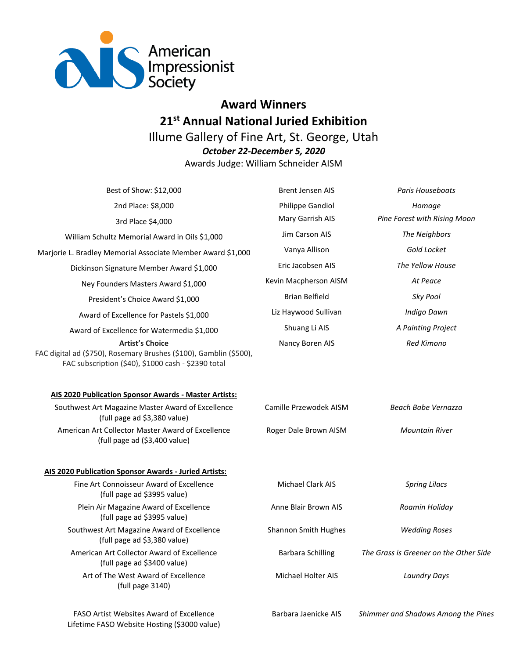

## **Award Winners 21st Annual National Juried Exhibition** Illume Gallery of Fine Art, St. George, Utah *October 22-December 5, 2020* Awards Judge: William Schneider AISM

Best of Show: \$12,000 Brent Jensen AIS *Paris Houseboats* 2nd Place: \$8,000 Philippe Gandiol *Homage* 3rd Place \$4,000 Mary Garrish AIS *Pine Forest with Rising Moon* William Schultz Memorial Award in Oils \$1,000 Jim Carson AIS *The Neighbors* Marjorie L. Bradley Memorial Associate Member Award \$1,000 Vanya Allison *Gold Locket* Dickinson Signature Member Award \$1,000 Eric Jacobsen AIS *The Yellow House* Ney Founders Masters Award \$1,000 Kevin Macpherson AISM *At Peace* President's Choice Award \$1,000 Brian Belfield *Sky Pool* Award of Excellence for Pastels \$1,000 Liz Haywood Sullivan *Indigo Dawn* Award of Excellence for Watermedia \$1,000 Shuang Li AIS *A Painting Project* **Artist's Choice** FAC digital ad (\$750), Rosemary Brushes (\$100), Gamblin (\$500), FAC subscription (\$40), \$1000 cash - \$2390 total Nancy Boren AIS *Red Kimono* **AIS 2020 Publication Sponsor Awards - Master Artists:** Southwest Art Magazine Master Award of Excellence (full page ad \$3,380 value) Camille Przewodek AISM *Beach Babe Vernazza* American Art Collector Master Award of Excellence (full page ad (\$3,400 value) Roger Dale Brown AISM *Mountain River* **AIS 2020 Publication Sponsor Awards - Juried Artists:** Fine Art Connoisseur Award of Excellence (full page ad \$3995 value) Michael Clark AIS *Spring Lilacs* Plein Air Magazine Award of Excellence (full page ad \$3995 value) Anne Blair Brown AIS *Roamin Holiday* Southwest Art Magazine Award of Excellence (full page ad \$3,380 value) Shannon Smith Hughes *Wedding Roses* American Art Collector Award of Excellence (full page ad \$3400 value) Barbara Schilling *The Grass is Greener on the Other Side* Art of The West Award of Excellence (full page 3140) Michael Holter AIS *Laundry Days*

FASO Artist Websites Award of Excellence Lifetime FASO Website Hosting (\$3000 value)

Barbara Jaenicke AIS *Shimmer and Shadows Among the Pines*